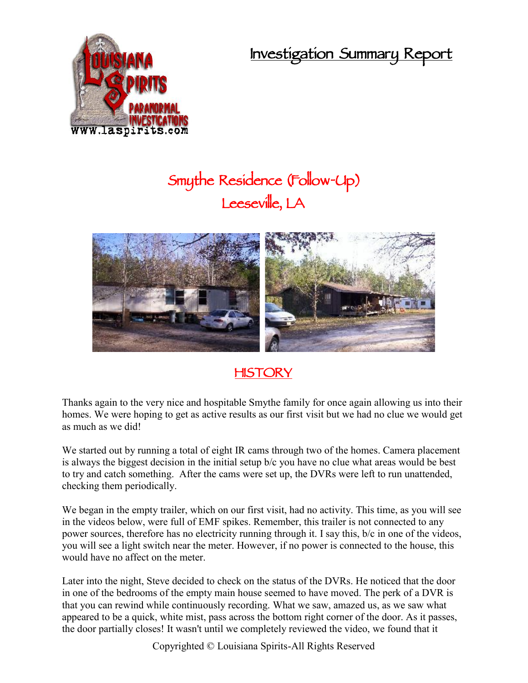**Investigation Summary Report**



## **Smythe Residence (Follow-Up) Leeseville, LA**



## **HISTORY**

Thanks again to the very nice and hospitable Smythe family for once again allowing us into their homes. We were hoping to get as active results as our first visit but we had no clue we would get as much as we did!

We started out by running a total of eight IR cams through two of the homes. Camera placement is always the biggest decision in the initial setup b/c you have no clue what areas would be best to try and catch something. After the cams were set up, the DVRs were left to run unattended, checking them periodically.

We began in the empty trailer, which on our first visit, had no activity. This time, as you will see in the videos below, were full of EMF spikes. Remember, this trailer is not connected to any power sources, therefore has no electricity running through it. I say this, b/c in one of the videos, you will see a light switch near the meter. However, if no power is connected to the house, this would have no affect on the meter.

Later into the night, Steve decided to check on the status of the DVRs. He noticed that the door in one of the bedrooms of the empty main house seemed to have moved. The perk of a DVR is that you can rewind while continuously recording. What we saw, amazed us, as we saw what appeared to be a quick, white mist, pass across the bottom right corner of the door. As it passes, the door partially closes! It wasn't until we completely reviewed the video, we found that it

Copyrighted © Louisiana Spirits-All Rights Reserved